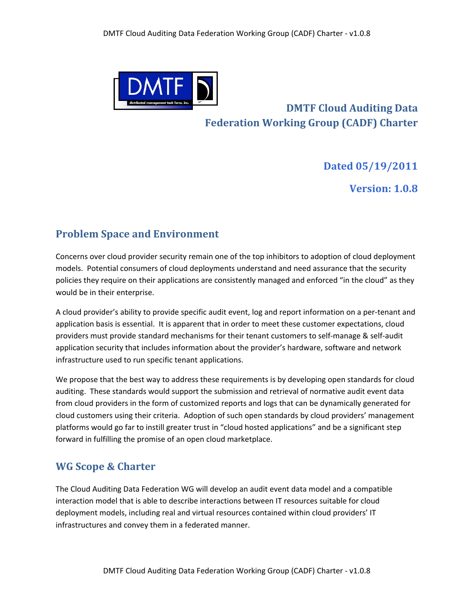

# **DMTF Cloud Auditing Data Federation Working Group (CADF) Charter**

#### **Dated!05/19/2011**

**Version:!1.0.8**

### **Problem Space and Environment**

Concerns over cloud provider security remain one of the top inhibitors to adoption of cloud deployment models. Potential consumers of cloud deployments understand and need assurance that the security policies they require on their applications are consistently managed and enforced "in the cloud" as they would be in their enterprise.

A cloud provider's ability to provide specific audit event, log and report information on a per-tenant and application basis is essential. It is apparent that in order to meet these customer expectations, cloud providers must provide standard mechanisms for their tenant customers to self-manage & self-audit application security that includes information about the provider's hardware, software and network infrastructure used to run specific tenant applications.

We propose that the best way to address these requirements is by developing open standards for cloud auditing. These standards would support the submission and retrieval of normative audit event data from cloud providers in the form of customized reports and logs that can be dynamically generated for cloud customers using their criteria. Adoption of such open standards by cloud providers' management platforms would go far to instill greater trust in "cloud hosted applications" and be a significant step forward in fulfilling the promise of an open cloud marketplace.

### **WG Scope & Charter**

The Cloud Auditing Data Federation WG will develop an audit event data model and a compatible interaction model that is able to describe interactions between IT resources suitable for cloud deployment models, including real and virtual resources contained within cloud providers' IT infrastructures and convey them in a federated manner.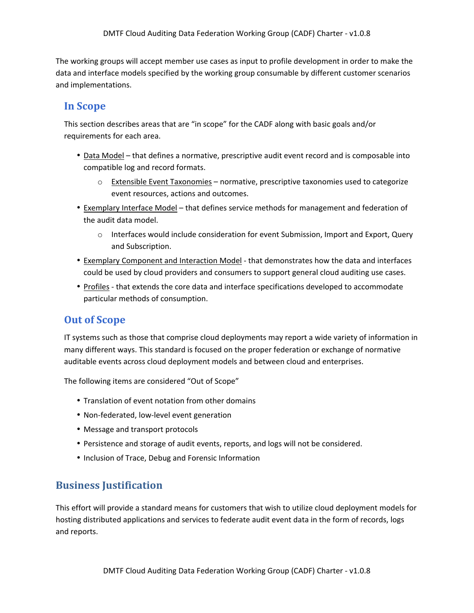The working groups will accept member use cases as input to profile development in order to make the data and interface models specified by the working group consumable by different customer scenarios and implementations.

#### **In!Scope**

This section describes areas that are "in scope" for the CADF along with basic goals and/or requirements for each area.

- Data Model that defines a normative, prescriptive audit event record and is composable into compatible log and record formats.
	- $\circ$  Extensible Event Taxonomies normative, prescriptive taxonomies used to categorize event resources, actions and outcomes.
- Exemplary Interface Model that defines service methods for management and federation of the audit data model.
	- $\circ$  Interfaces would include consideration for event Submission, Import and Export, Query and Subscription.
- Exemplary Component and Interaction Model that demonstrates how the data and interfaces could be used by cloud providers and consumers to support general cloud auditing use cases.
- Profiles that extends the core data and interface specifications developed to accommodate particular methods of consumption.

#### **Out of Scope**

IT systems such as those that comprise cloud deployments may report a wide variety of information in many different ways. This standard is focused on the proper federation or exchange of normative auditable events across cloud deployment models and between cloud and enterprises.

The following items are considered "Out of Scope"

- Translation of event notation from other domains
- Non-federated, low-level event generation
- Message and transport protocols
- Persistence and storage of audit events, reports, and logs will not be considered.
- Inclusion of Trace, Debug and Forensic Information

### **Business Justification**

This effort will provide a standard means for customers that wish to utilize cloud deployment models for hosting distributed applications and services to federate audit event data in the form of records, logs and reports.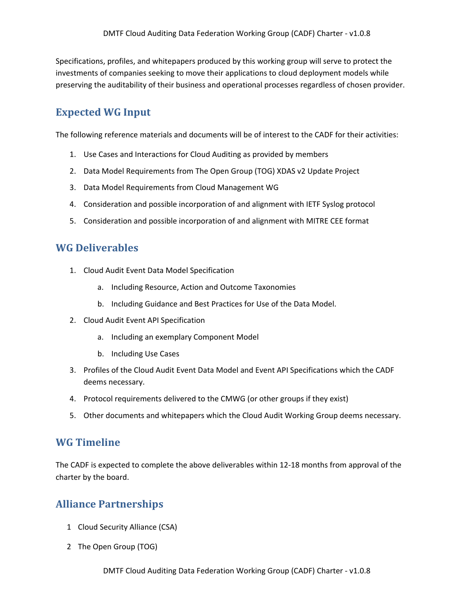Specifications, profiles, and whitepapers produced by this working group will serve to protect the investments of companies seeking to move their applications to cloud deployment models while preserving the auditability of their business and operational processes regardless of chosen provider.

## **Expected WG Input**

The following reference materials and documents will be of interest to the CADF for their activities:

- 1. Use Cases and Interactions for Cloud Auditing as provided by members
- 2. Data Model Requirements from The Open Group (TOG) XDAS v2 Update Project
- 3. Data Model Requirements from Cloud Management WG
- 4. Consideration and possible incorporation of and alignment with IETF Syslog protocol
- 5. Consideration and possible incorporation of and alignment with MITRE CEE format

#### **WG!Deliverables**

- 1. Cloud Audit Event Data Model Specification
	- a. Including Resource, Action and Outcome Taxonomies
	- b. Including Guidance and Best Practices for Use of the Data Model.
- 2. Cloud Audit Event API Specification
	- a. Including an exemplary Component Model
	- b. Including Use Cases
- 3. Profiles of the Cloud Audit Event Data Model and Event API Specifications which the CADF deems necessary.
- 4. Protocol requirements delivered to the CMWG (or other groups if they exist)
- 5. Other documents and whitepapers which the Cloud Audit Working Group deems necessary.

#### **WG!Timeline**

The CADF is expected to complete the above deliverables within 12-18 months from approval of the charter by the board.

### **Alliance Partnerships**

- 1 Cloud Security Alliance (CSA)
- 2 The Open Group (TOG)

DMTF Cloud Auditing Data Federation Working Group (CADF) Charter - v1.0.8